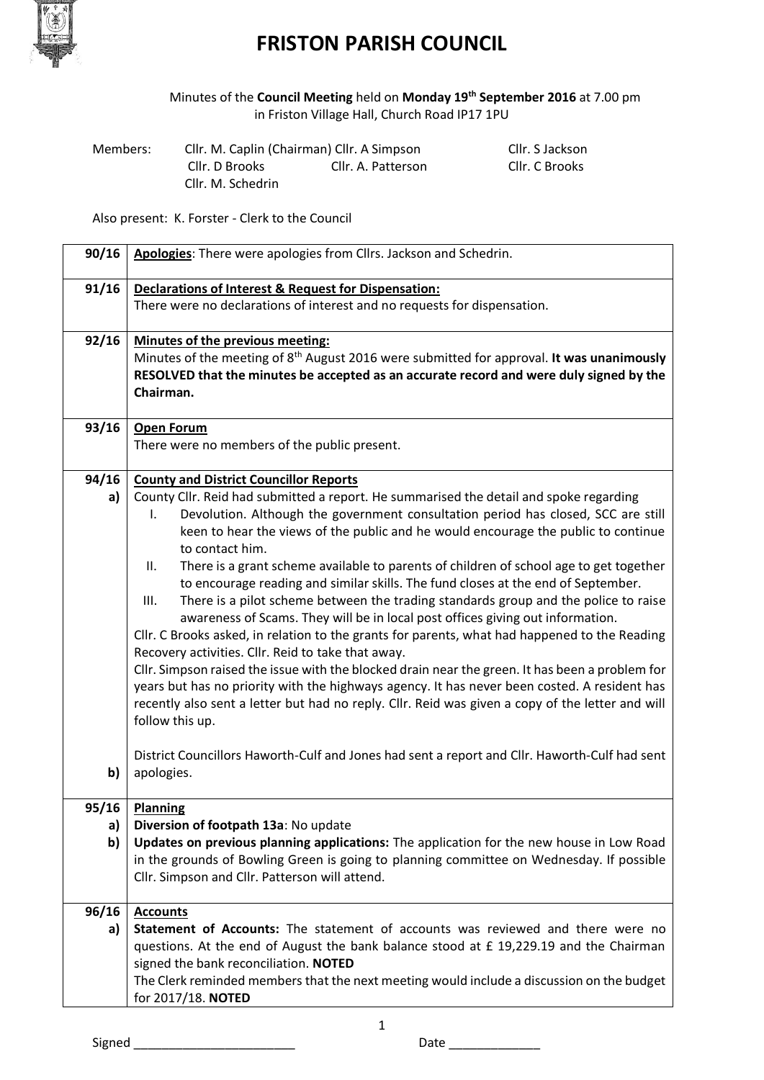

## **FRISTON PARISH COUNCIL**

Minutes of the **Council Meeting** held on **Monday 19th September 2016** at 7.00 pm in Friston Village Hall, Church Road IP17 1PU

| Members: | Cllr. M. Caplin (Chairman) Cllr. A Simpson |                    | Cllr. S Jackson |
|----------|--------------------------------------------|--------------------|-----------------|
|          | Cllr. D Brooks                             | Cllr. A. Patterson | Cllr. C Brooks  |
|          | Cllr. M. Schedrin                          |                    |                 |

Also present: K. Forster - Clerk to the Council

| 90/16 | Apologies: There were apologies from Cllrs. Jackson and Schedrin.                                     |
|-------|-------------------------------------------------------------------------------------------------------|
| 91/16 | Declarations of Interest & Request for Dispensation:                                                  |
|       | There were no declarations of interest and no requests for dispensation.                              |
| 92/16 | Minutes of the previous meeting:                                                                      |
|       | Minutes of the meeting of 8 <sup>th</sup> August 2016 were submitted for approval. It was unanimously |
|       | RESOLVED that the minutes be accepted as an accurate record and were duly signed by the               |
|       | Chairman.                                                                                             |
| 93/16 | <b>Open Forum</b>                                                                                     |
|       | There were no members of the public present.                                                          |
| 94/16 | <b>County and District Councillor Reports</b>                                                         |
| a)    | County Cllr. Reid had submitted a report. He summarised the detail and spoke regarding                |
|       | Devolution. Although the government consultation period has closed, SCC are still<br>I.               |
|       | keen to hear the views of the public and he would encourage the public to continue                    |
|       | to contact him.                                                                                       |
|       | There is a grant scheme available to parents of children of school age to get together<br>ΙΙ.         |
|       | to encourage reading and similar skills. The fund closes at the end of September.                     |
|       | There is a pilot scheme between the trading standards group and the police to raise<br>III.           |
|       | awareness of Scams. They will be in local post offices giving out information.                        |
|       | Cllr. C Brooks asked, in relation to the grants for parents, what had happened to the Reading         |
|       | Recovery activities. Cllr. Reid to take that away.                                                    |
|       | Cllr. Simpson raised the issue with the blocked drain near the green. It has been a problem for       |
|       | years but has no priority with the highways agency. It has never been costed. A resident has          |
|       | recently also sent a letter but had no reply. Cllr. Reid was given a copy of the letter and will      |
|       | follow this up.                                                                                       |
|       | District Councillors Haworth-Culf and Jones had sent a report and Cllr. Haworth-Culf had sent         |
| b)    | apologies.                                                                                            |
|       |                                                                                                       |
| 95/16 | <b>Planning</b>                                                                                       |
| a)    | Diversion of footpath 13a: No update                                                                  |
| b)    | Updates on previous planning applications: The application for the new house in Low Road              |
|       | in the grounds of Bowling Green is going to planning committee on Wednesday. If possible              |
|       | Cllr. Simpson and Cllr. Patterson will attend.                                                        |
|       |                                                                                                       |
| 96/16 | <b>Accounts</b>                                                                                       |
| a)    | Statement of Accounts: The statement of accounts was reviewed and there were no                       |
|       | questions. At the end of August the bank balance stood at £ 19,229.19 and the Chairman                |
|       | signed the bank reconciliation. NOTED                                                                 |
|       | The Clerk reminded members that the next meeting would include a discussion on the budget             |
|       | for 2017/18. NOTED                                                                                    |

Signed \_\_\_\_\_\_\_\_\_\_\_\_\_\_\_\_\_\_\_\_\_\_\_ Date \_\_\_\_\_\_\_\_\_\_\_\_\_

1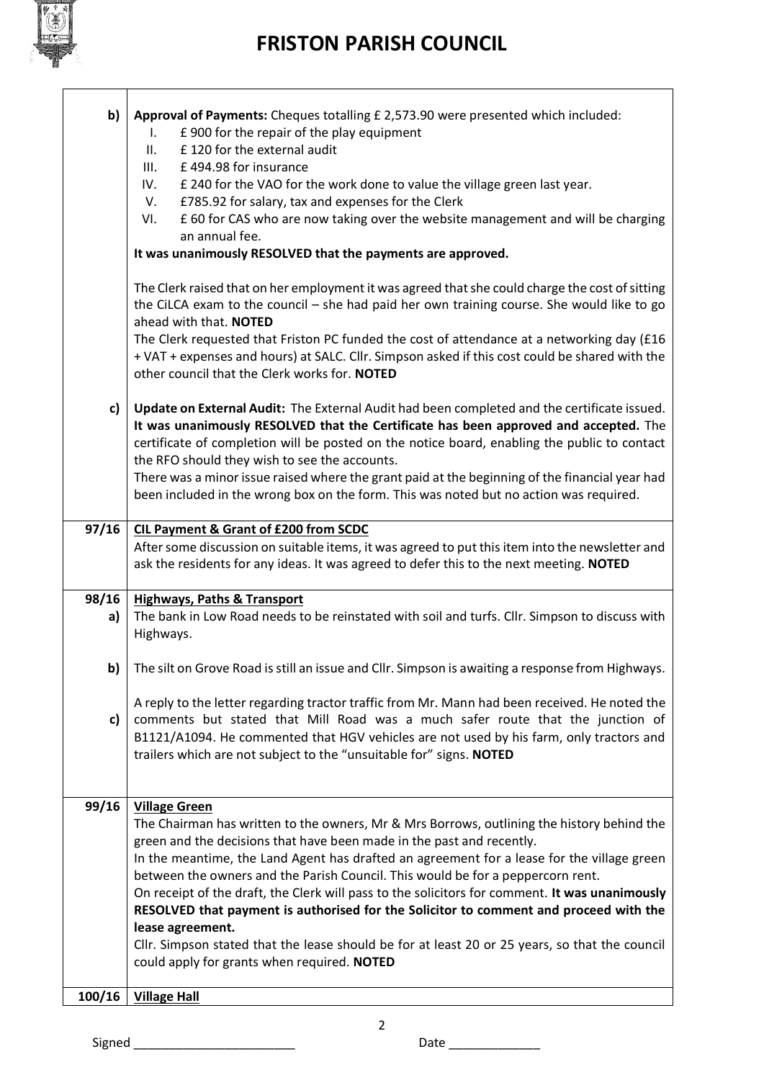

 $\overline{1}$ 

## **FRISTON PARISH COUNCIL**

| b)     | Approval of Payments: Cheques totalling £ 2,573.90 were presented which included:<br>£900 for the repair of the play equipment<br>L.<br>£120 for the external audit<br>II.<br>III.<br>£494.98 for insurance<br>£ 240 for the VAO for the work done to value the village green last year.<br>IV.<br>£785.92 for salary, tax and expenses for the Clerk<br>V.<br>£ 60 for CAS who are now taking over the website management and will be charging<br>VI.<br>an annual fee.<br>It was unanimously RESOLVED that the payments are approved.<br>The Clerk raised that on her employment it was agreed that she could charge the cost of sitting<br>the CiLCA exam to the council - she had paid her own training course. She would like to go<br>ahead with that. NOTED<br>The Clerk requested that Friston PC funded the cost of attendance at a networking day (£16 |
|--------|------------------------------------------------------------------------------------------------------------------------------------------------------------------------------------------------------------------------------------------------------------------------------------------------------------------------------------------------------------------------------------------------------------------------------------------------------------------------------------------------------------------------------------------------------------------------------------------------------------------------------------------------------------------------------------------------------------------------------------------------------------------------------------------------------------------------------------------------------------------|
|        | + VAT + expenses and hours) at SALC. Cllr. Simpson asked if this cost could be shared with the<br>other council that the Clerk works for. NOTED                                                                                                                                                                                                                                                                                                                                                                                                                                                                                                                                                                                                                                                                                                                  |
| c)     | Update on External Audit: The External Audit had been completed and the certificate issued.<br>It was unanimously RESOLVED that the Certificate has been approved and accepted. The<br>certificate of completion will be posted on the notice board, enabling the public to contact<br>the RFO should they wish to see the accounts.<br>There was a minor issue raised where the grant paid at the beginning of the financial year had<br>been included in the wrong box on the form. This was noted but no action was required.                                                                                                                                                                                                                                                                                                                                 |
| 97/16  | <b>CIL Payment &amp; Grant of £200 from SCDC</b>                                                                                                                                                                                                                                                                                                                                                                                                                                                                                                                                                                                                                                                                                                                                                                                                                 |
|        | After some discussion on suitable items, it was agreed to put this item into the newsletter and<br>ask the residents for any ideas. It was agreed to defer this to the next meeting. NOTED                                                                                                                                                                                                                                                                                                                                                                                                                                                                                                                                                                                                                                                                       |
| 98/16  | <b>Highways, Paths &amp; Transport</b>                                                                                                                                                                                                                                                                                                                                                                                                                                                                                                                                                                                                                                                                                                                                                                                                                           |
| a)     | The bank in Low Road needs to be reinstated with soil and turfs. Cllr. Simpson to discuss with<br>Highways.                                                                                                                                                                                                                                                                                                                                                                                                                                                                                                                                                                                                                                                                                                                                                      |
| b)     | The silt on Grove Road is still an issue and Cllr. Simpson is awaiting a response from Highways.                                                                                                                                                                                                                                                                                                                                                                                                                                                                                                                                                                                                                                                                                                                                                                 |
| c)     | A reply to the letter regarding tractor traffic from Mr. Mann had been received. He noted the<br>comments but stated that Mill Road was a much safer route that the junction of<br>B1121/A1094. He commented that HGV vehicles are not used by his farm, only tractors and<br>trailers which are not subject to the "unsuitable for" signs. NOTED                                                                                                                                                                                                                                                                                                                                                                                                                                                                                                                |
| 99/16  | <b>Village Green</b>                                                                                                                                                                                                                                                                                                                                                                                                                                                                                                                                                                                                                                                                                                                                                                                                                                             |
|        | The Chairman has written to the owners, Mr & Mrs Borrows, outlining the history behind the<br>green and the decisions that have been made in the past and recently.<br>In the meantime, the Land Agent has drafted an agreement for a lease for the village green<br>between the owners and the Parish Council. This would be for a peppercorn rent.<br>On receipt of the draft, the Clerk will pass to the solicitors for comment. It was unanimously<br>RESOLVED that payment is authorised for the Solicitor to comment and proceed with the<br>lease agreement.<br>Cllr. Simpson stated that the lease should be for at least 20 or 25 years, so that the council<br>could apply for grants when required. NOTED                                                                                                                                             |
| 100/16 | <b>Village Hall</b>                                                                                                                                                                                                                                                                                                                                                                                                                                                                                                                                                                                                                                                                                                                                                                                                                                              |

Signed \_\_\_\_\_\_\_\_\_\_\_\_\_\_\_\_\_\_\_\_\_\_\_ Date \_\_\_\_\_\_\_\_\_\_\_\_\_

2